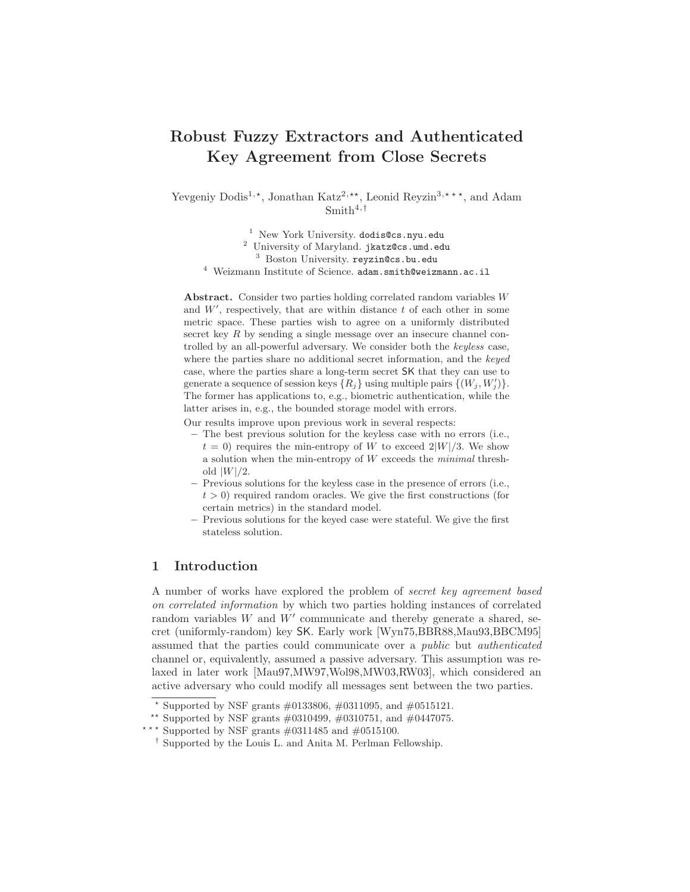# Robust Fuzzy Extractors and Authenticated Key Agreement from Close Secrets

Yevgeniy Dodis<sup>1,\*</sup>, Jonathan Katz<sup>2,\*\*</sup>, Leonid Reyzin<sup>3,\*\*\*</sup>, and Adam  $Smith<sup>4,†</sup>$ 

<sup>1</sup> New York University. dodis@cs.nyu.edu University of Maryland. jkatz@cs.umd.edu Boston University. reyzin@cs.bu.edu Weizmann Institute of Science. adam.smith@weizmann.ac.il

Abstract. Consider two parties holding correlated random variables W and  $W'$ , respectively, that are within distance  $t$  of each other in some metric space. These parties wish to agree on a uniformly distributed secret key R by sending a single message over an insecure channel controlled by an all-powerful adversary. We consider both the keyless case, where the parties share no additional secret information, and the keyed case, where the parties share a long-term secret SK that they can use to generate a sequence of session keys  $\{R_j\}$  using multiple pairs  $\{(W_j, W'_j)\}.$ The former has applications to, e.g., biometric authentication, while the latter arises in, e.g., the bounded storage model with errors.

Our results improve upon previous work in several respects:

- The best previous solution for the keyless case with no errors (i.e.,  $t = 0$ ) requires the min-entropy of W to exceed  $2|W|/3$ . We show a solution when the min-entropy of  $W$  exceeds the  $minimal$  threshold  $|W|/2$ .
- Previous solutions for the keyless case in the presence of errors (i.e.,  $t > 0$ ) required random oracles. We give the first constructions (for certain metrics) in the standard model.
- Previous solutions for the keyed case were stateful. We give the first stateless solution.

# 1 Introduction

A number of works have explored the problem of secret key agreement based on correlated information by which two parties holding instances of correlated random variables  $W$  and  $W'$  communicate and thereby generate a shared, secret (uniformly-random) key SK. Early work [Wyn75,BBR88,Mau93,BBCM95] assumed that the parties could communicate over a public but authenticated channel or, equivalently, assumed a passive adversary. This assumption was relaxed in later work [Mau97,MW97,Wol98,MW03,RW03], which considered an active adversary who could modify all messages sent between the two parties.

 $\star$  Supported by NSF grants  $\#0133806, \#0311095, \text{ and } \#0515121.$ 

<sup>\*\*</sup> Supported by NSF grants  $\#0310499, \#0310751,$  and  $\#0447075$ .

<sup>\*\*\*</sup> Supported by NSF grants  $\#0311485$  and  $\#0515100$ .

<sup>†</sup> Supported by the Louis L. and Anita M. Perlman Fellowship.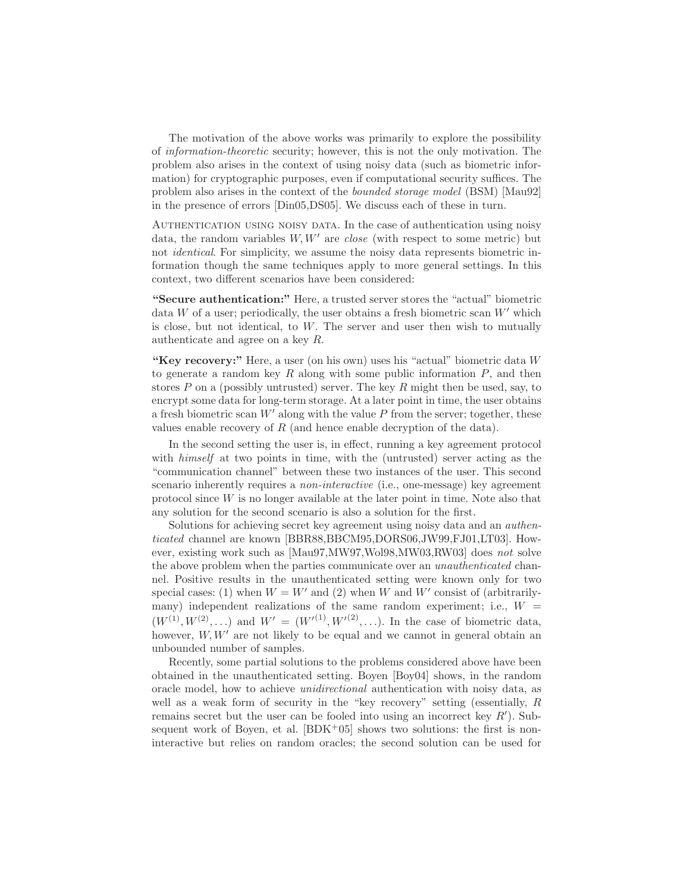The motivation of the above works was primarily to explore the possibility of information-theoretic security; however, this is not the only motivation. The problem also arises in the context of using noisy data (such as biometric information) for cryptographic purposes, even if computational security suffices. The problem also arises in the context of the bounded storage model (BSM) [Mau92] in the presence of errors [Din05,DS05]. We discuss each of these in turn.

Authentication using noisy data. In the case of authentication using noisy data, the random variables  $W, W'$  are *close* (with respect to some metric) but not identical. For simplicity, we assume the noisy data represents biometric information though the same techniques apply to more general settings. In this context, two different scenarios have been considered:

"Secure authentication:" Here, a trusted server stores the "actual" biometric data  $W$  of a user; periodically, the user obtains a fresh biometric scan  $W'$  which is close, but not identical, to  $W$ . The server and user then wish to mutually authenticate and agree on a key R.

"Key recovery:" Here, a user (on his own) uses his "actual" biometric data  $W$ to generate a random key  $R$  along with some public information  $P$ , and then stores  $P$  on a (possibly untrusted) server. The key  $R$  might then be used, say, to encrypt some data for long-term storage. At a later point in time, the user obtains a fresh biometric scan  $W'$  along with the value  $P$  from the server; together, these values enable recovery of  $R$  (and hence enable decryption of the data).

In the second setting the user is, in effect, running a key agreement protocol with *himself* at two points in time, with the (untrusted) server acting as the "communication channel" between these two instances of the user. This second scenario inherently requires a non-interactive (i.e., one-message) key agreement protocol since  $W$  is no longer available at the later point in time. Note also that any solution for the second scenario is also a solution for the first.

Solutions for achieving secret key agreement using noisy data and an authenticated channel are known [BBR88,BBCM95,DORS06,JW99,FJ01,LT03]. However, existing work such as [Mau97,MW97,Wol98,MW03,RW03] does not solve the above problem when the parties communicate over an unauthenticated channel. Positive results in the unauthenticated setting were known only for two special cases: (1) when  $W = W'$  and (2) when W and W' consist of (arbitrarilymany) independent realizations of the same random experiment; i.e.,  $W =$  $(W^{(1)}, W^{(2)}, ...)$  and  $W' = (W'^{(1)}, W'^{(2)}, ...)$ . In the case of biometric data, however,  $W, W'$  are not likely to be equal and we cannot in general obtain an unbounded number of samples.

Recently, some partial solutions to the problems considered above have been obtained in the unauthenticated setting. Boyen [Boy04] shows, in the random oracle model, how to achieve unidirectional authentication with noisy data, as well as a weak form of security in the "key recovery" setting (essentially, R remains secret but the user can be fooled into using an incorrect key  $R'$ ). Subsequent work of Boyen, et al.  $[BDK^+05]$  shows two solutions: the first is noninteractive but relies on random oracles; the second solution can be used for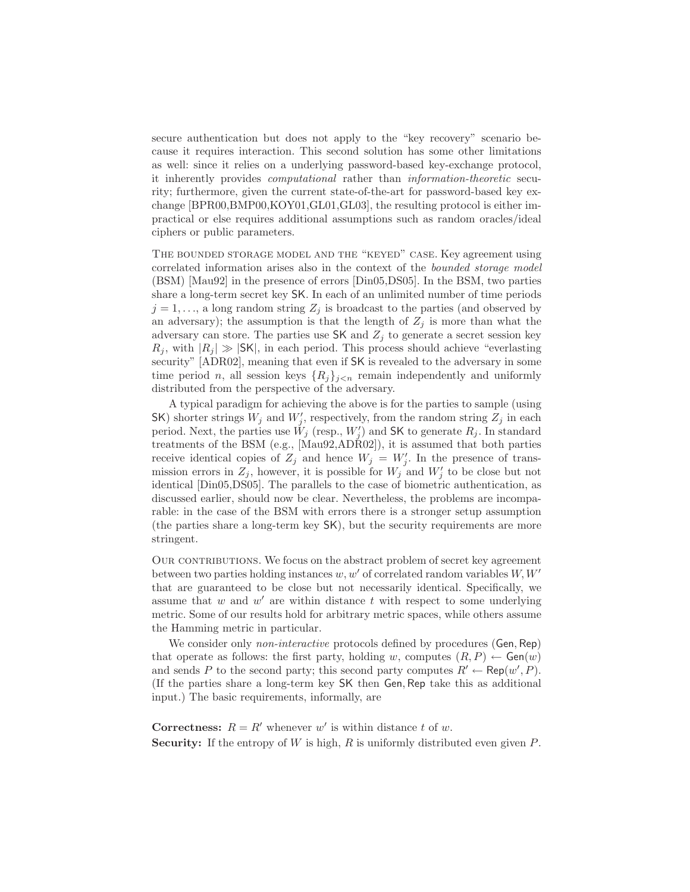secure authentication but does not apply to the "key recovery" scenario because it requires interaction. This second solution has some other limitations as well: since it relies on a underlying password-based key-exchange protocol, it inherently provides computational rather than information-theoretic security; furthermore, given the current state-of-the-art for password-based key exchange [BPR00,BMP00,KOY01,GL01,GL03], the resulting protocol is either impractical or else requires additional assumptions such as random oracles/ideal ciphers or public parameters.

The bounded storage model and the "keyed" case. Key agreement using correlated information arises also in the context of the bounded storage model (BSM) [Mau92] in the presence of errors [Din05,DS05]. In the BSM, two parties share a long-term secret key SK. In each of an unlimited number of time periods  $j = 1, \ldots$ , a long random string  $Z_j$  is broadcast to the parties (and observed by an adversary); the assumption is that the length of  $Z_j$  is more than what the adversary can store. The parties use  $SK$  and  $Z_j$  to generate a secret session key  $R_i$ , with  $|R_i| \gg |\mathsf{SK}|$ , in each period. This process should achieve "everlasting" security" [ADR02], meaning that even if SK is revealed to the adversary in some time period n, all session keys  $\{R_j\}_{j \leq n}$  remain independently and uniformly distributed from the perspective of the adversary.

A typical paradigm for achieving the above is for the parties to sample (using SK) shorter strings  $W_j$  and  $W'_j$ , respectively, from the random string  $Z_j$  in each period. Next, the parties use  $\check{W}_j$  (resp.,  $W'_j$ ) and SK to generate  $R_j$ . In standard treatments of the BSM (e.g., [Mau92,ADR02]), it is assumed that both parties receive identical copies of  $Z_j$  and hence  $W_j = W'_j$ . In the presence of transmission errors in  $Z_j$ , however, it is possible for  $W_j$  and  $W'_j$  to be close but not identical [Din05,DS05]. The parallels to the case of biometric authentication, as discussed earlier, should now be clear. Nevertheless, the problems are incomparable: in the case of the BSM with errors there is a stronger setup assumption (the parties share a long-term key SK), but the security requirements are more stringent.

OUR CONTRIBUTIONS. We focus on the abstract problem of secret key agreement between two parties holding instances  $w, w'$  of correlated random variables  $W, W'$ that are guaranteed to be close but not necessarily identical. Specifically, we assume that  $w$  and  $w'$  are within distance  $t$  with respect to some underlying metric. Some of our results hold for arbitrary metric spaces, while others assume the Hamming metric in particular.

We consider only *non-interactive* protocols defined by procedures (Gen, Rep) that operate as follows: the first party, holding w, computes  $(R, P) \leftarrow$  Gen $(w)$ and sends P to the second party; this second party computes  $R' \leftarrow \mathsf{Rep}(w', P)$ . (If the parties share a long-term key SK then Gen, Rep take this as additional input.) The basic requirements, informally, are

**Correctness:**  $R = R'$  whenever w' is within distance t of w. Security: If the entropy of W is high, R is uniformly distributed even given  $P$ .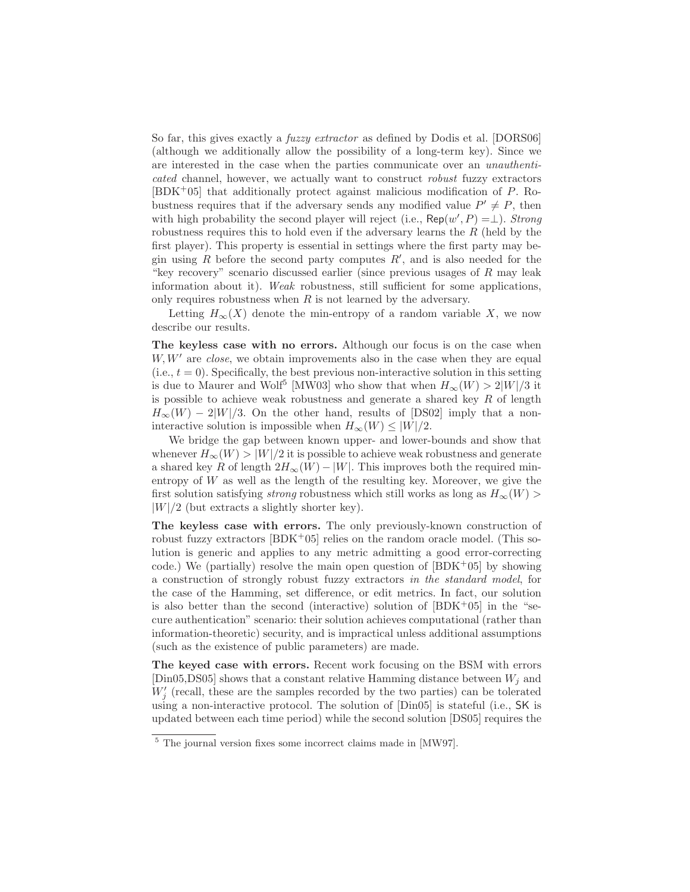So far, this gives exactly a fuzzy extractor as defined by Dodis et al. [DORS06] (although we additionally allow the possibility of a long-term key). Since we are interested in the case when the parties communicate over an unauthenticated channel, however, we actually want to construct robust fuzzy extractors  $[BDK^+05]$  that additionally protect against malicious modification of P. Robustness requires that if the adversary sends any modified value  $P' \neq P$ , then with high probability the second player will reject (i.e.,  $\mathsf{Rep}(w', P) = \perp$ ). Strong robustness requires this to hold even if the adversary learns the  $R$  (held by the first player). This property is essential in settings where the first party may begin using  $R$  before the second party computes  $R'$ , and is also needed for the "key recovery" scenario discussed earlier (since previous usages of  $R$  may leak information about it). Weak robustness, still sufficient for some applications, only requires robustness when  $R$  is not learned by the adversary.

Letting  $H_{\infty}(X)$  denote the min-entropy of a random variable X, we now describe our results.

The keyless case with no errors. Although our focus is on the case when  $W, W'$  are *close*, we obtain improvements also in the case when they are equal  $(i.e.,  $t = 0$ ). Specifically, the best previous non-interactive solution in this setting$ is due to Maurer and Wolf<sup>5</sup> [MW03] who show that when  $H_{\infty}(W) > 2|W|/3$  it is possible to achieve weak robustness and generate a shared key  $R$  of length  $H_{\infty}(W) - 2|W|/3$ . On the other hand, results of [DS02] imply that a noninteractive solution is impossible when  $H_{\infty}(W) \leq |W|/2$ .

We bridge the gap between known upper- and lower-bounds and show that whenever  $H_{\infty}(W) > |W|/2$  it is possible to achieve weak robustness and generate a shared key R of length  $2H_{\infty}(W) - |W|$ . This improves both the required minentropy of  $W$  as well as the length of the resulting key. Moreover, we give the first solution satisfying *strong* robustness which still works as long as  $H_{\infty}(W)$  $|W|/2$  (but extracts a slightly shorter key).

The keyless case with errors. The only previously-known construction of robust fuzzy extractors  $[BDK+05]$  relies on the random oracle model. (This solution is generic and applies to any metric admitting a good error-correcting code.) We (partially) resolve the main open question of  $[BDK^+05]$  by showing a construction of strongly robust fuzzy extractors in the standard model, for the case of the Hamming, set difference, or edit metrics. In fact, our solution is also better than the second (interactive) solution of  $[BDK^+05]$  in the "secure authentication" scenario: their solution achieves computational (rather than information-theoretic) security, and is impractical unless additional assumptions (such as the existence of public parameters) are made.

The keyed case with errors. Recent work focusing on the BSM with errors [Din05,DS05] shows that a constant relative Hamming distance between  $W_i$  and  $W'_{j}$  (recall, these are the samples recorded by the two parties) can be tolerated using a non-interactive protocol. The solution of [Din05] is stateful (i.e., SK is updated between each time period) while the second solution [DS05] requires the

 $5$  The journal version fixes some incorrect claims made in [MW97].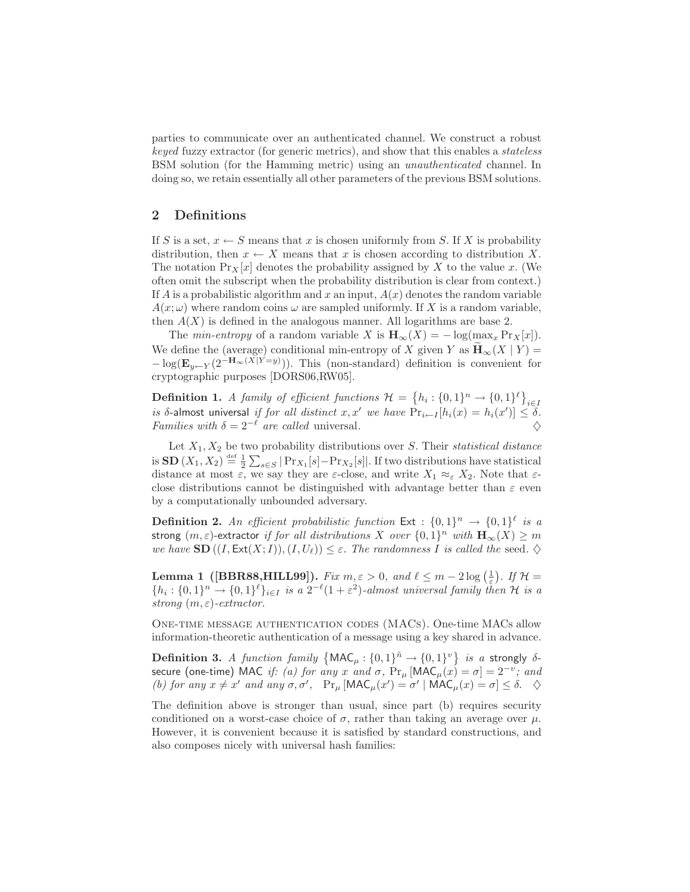parties to communicate over an authenticated channel. We construct a robust keyed fuzzy extractor (for generic metrics), and show that this enables a stateless BSM solution (for the Hamming metric) using an unauthenticated channel. In doing so, we retain essentially all other parameters of the previous BSM solutions.

# 2 Definitions

If S is a set,  $x \leftarrow S$  means that x is chosen uniformly from S. If X is probability distribution, then  $x \leftarrow X$  means that x is chosen according to distribution X. The notation  $\Pr_X[x]$  denotes the probability assigned by X to the value x. (We often omit the subscript when the probability distribution is clear from context.) If A is a probabilistic algorithm and x an input,  $A(x)$  denotes the random variable  $A(x; \omega)$  where random coins  $\omega$  are sampled uniformly. If X is a random variable, then  $A(X)$  is defined in the analogous manner. All logarithms are base 2.

The min-entropy of a random variable X is  $\mathbf{H}_{\infty}(X) = -\log(\max_{x} \Pr_{X}[x]).$ We define the (average) conditional min-entropy of X given Y as  $\mathbf{H}_{\infty}(X | Y) =$  $-\log(\mathbf{E}_{y \leftarrow Y}(2^{-\mathbf{H}_{\infty}(X|Y=y)}))$ . This (non-standard) definition is convenient for cryptographic purposes [DORS06,RW05].

**Definition 1.** A family of efficient functions  $\mathcal{H} = \{h_i : \{0,1\}^n \to \{0,1\}^{\ell}\}_{i \in I}$  is  $\delta$ -almost universal if for all distinct  $x, x'$  we have  $\Pr_{i \leftarrow I}[h_i(x) = h_i(x')] \leq \delta$ . Families with  $\delta = 2^{-\ell}$  are called universal.

Let  $X_1, X_2$  be two probability distributions over S. Their statistical distance is **SD**  $(X_1, X_2) \stackrel{\text{def}}{=} \frac{1}{2} \sum_{s \in S} |Pr_{X_1}[s] - Pr_{X_2}[s]|$ . If two distributions have statistical distance at most  $\varepsilon$ , we say they are  $\varepsilon$ -close, and write  $X_1 \approx_{\varepsilon} X_2$ . Note that  $\varepsilon$ close distributions cannot be distinguished with advantage better than  $\varepsilon$  even by a computationally unbounded adversary.

**Definition 2.** An efficient probabilistic function  $Ext : \{0,1\}^n \rightarrow \{0,1\}^{\ell}$  is a strong  $(m, \varepsilon)$ -extractor if for all distributions X over  $\{0,1\}^n$  with  $\mathbf{H}_{\infty}(X) \geq m$ we have  $SD((I, Ext(X; I)), (I, U_{\ell})) \leq \varepsilon$ . The randomness I is called the seed.  $\diamondsuit$ 

**Lemma 1 ([BBR88,HILL99]).** Fix  $m, \varepsilon > 0$ , and  $\ell \leq m - 2 \log(\frac{1}{\varepsilon})$ . If  $\mathcal{H} =$  ${h_i: \{0,1\}^n \to \{0,1\}^\ell\}_{i\in I}$  is a  $2^{-\ell}(1+\varepsilon^2)$ -almost universal family then H is a strong  $(m, \varepsilon)$ -extractor.

One-time message authentication codes (MACs). One-time MACs allow information-theoretic authentication of a message using a key shared in advance.

**Definition 3.** A function family  $\{MAC_{\mu} : \{0,1\}^{\tilde{n}} \rightarrow \{0,1\}^{\nu}\}\$ is a strongly  $\delta$ secure (one-time) MAC *if: (a) for any x and*  $\sigma$ *,*  $Pr_{\mu}$  [MAC $_{\mu}(x) = \sigma] = 2^{-v}$ *; and* (b) for any  $x \neq x'$  and any  $\sigma, \sigma'$ ,  $\Pr_{\mu} [\text{MAC}_{\mu}(x') = \sigma' | \text{MAC}_{\mu}(x) = \sigma] \leq \delta$ .  $\diamondsuit$ 

The definition above is stronger than usual, since part (b) requires security conditioned on a worst-case choice of  $\sigma$ , rather than taking an average over  $\mu$ . However, it is convenient because it is satisfied by standard constructions, and also composes nicely with universal hash families: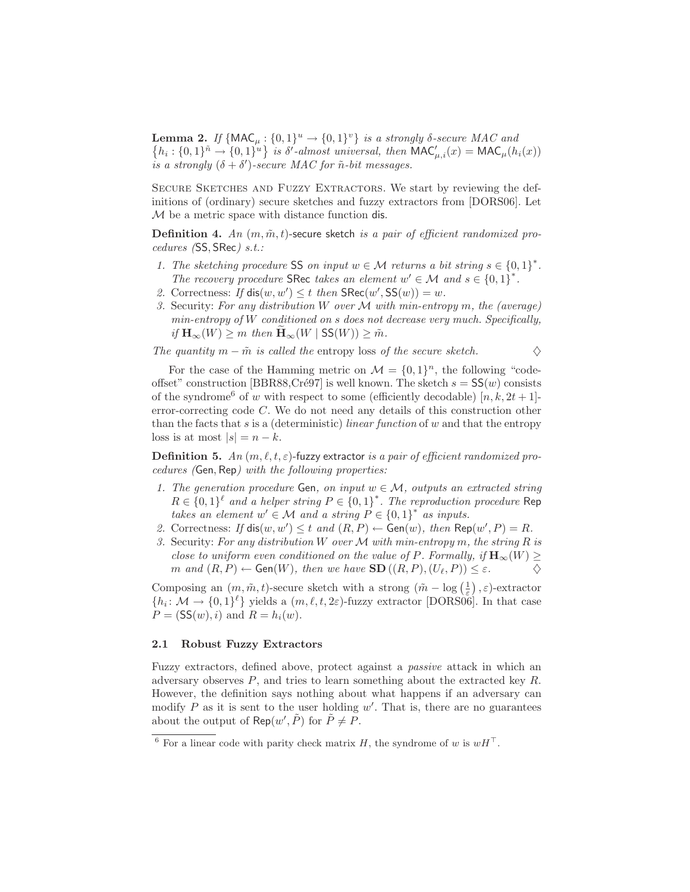**Lemma 2.** If  $\{MAC_{\mu} : \{0,1\}^u \rightarrow \{0,1\}^v\}$  is a strongly  $\delta$ -secure MAC and  $\{h_i: \{0,1\}^n \to \{0,1\}^u\}$  is  $\delta'$ -almost universal, then  $MAC'_{\mu,i}(x) = MAC_{\mu}(h_i(x))$ is a strongly  $(\delta + \delta')$ -secure MAC for  $\tilde{n}$ -bit messages.

SECURE SKETCHES AND FUZZY EXTRACTORS. We start by reviewing the definitions of (ordinary) secure sketches and fuzzy extractors from [DORS06]. Let M be a metric space with distance function dis.

**Definition 4.** An  $(m, \tilde{m}, t)$ -secure sketch is a pair of efficient randomized procedures (SS, SRec) s.t.:

- 1. The sketching procedure SS on input  $w \in \mathcal{M}$  returns a bit string  $s \in \{0,1\}^*$ . The recovery procedure SRec takes an element  $w' \in \mathcal{M}$  and  $s \in \{0,1\}^*$ .
- 2. Correctness: If  $dis(w, w') \leq t$  then  $SRec(w', SS(w)) = w$ .
- 3. Security: For any distribution W over M with min-entropy m, the (average) min-entropy of W conditioned on s does not decrease very much. Specifically, if  $\mathbf{H}_{\infty}(W) \geq m$  then  $\mathbf{H}_{\infty}(W | S\mathsf{S}(W)) \geq \tilde{m}$ .

The quantity  $m - \tilde{m}$  is called the entropy loss of the secure sketch.  $\diamondsuit$ 

For the case of the Hamming metric on  $\mathcal{M} = \{0, 1\}^n$ , the following "codeoffset" construction [BBR88, Cré97] is well known. The sketch  $s = SS(w)$  consists of the syndrome<sup>6</sup> of w with respect to some (efficiently decodable)  $[n, k, 2t + 1]$ error-correcting code C. We do not need any details of this construction other than the facts that s is a (deterministic) *linear function* of w and that the entropy loss is at most  $|s| = n - k$ .

**Definition 5.** An  $(m, \ell, t, \varepsilon)$ -fuzzy extractor is a pair of efficient randomized procedures (Gen, Rep) with the following properties:

- 1. The generation procedure Gen, on input  $w \in \mathcal{M}$ , outputs an extracted string  $R \in \{0,1\}^{\ell}$  and a helper string  $P \in \{0,1\}^*$ . The reproduction procedure Rep takes an element  $w' \in \mathcal{M}$  and a string  $P \in \{0,1\}^*$  as inputs.
- 2. Correctness: If  $dis(w, w') \leq t$  and  $(R, P) \leftarrow Gen(w)$ , then  $Rep(w', P) = R$ .
- 3. Security: For any distribution W over M with min-entropy m, the string R is close to uniform even conditioned on the value of P. Formally, if  $\mathbf{H}_{\infty}(W)$ m and  $(R, P) \leftarrow$  Gen $(W)$ , then we have  $SD((R, P), (U_{\ell}, P)) \leq \varepsilon$ .  $\diamondsuit$

Composing an  $(m, \tilde{m}, t)$ -secure sketch with a strong  $(\tilde{m} - \log(\frac{1}{\varepsilon}), \varepsilon)$ -extractor  ${h_i: \mathcal{M} \to \{0,1\}^{\ell}\}\$  yields a  $(m,\ell,t,2\varepsilon)$ -fuzzy extractor [DORS06]. In that case  $P = (SS(w), i)$  and  $R = h_i(w)$ .

#### 2.1 Robust Fuzzy Extractors

Fuzzy extractors, defined above, protect against a passive attack in which an adversary observes P, and tries to learn something about the extracted key R. However, the definition says nothing about what happens if an adversary can modify  $P$  as it is sent to the user holding  $w'$ . That is, there are no guarantees about the output of Rep $(w', \tilde{P})$  for  $\tilde{P} \neq P$ .

<sup>&</sup>lt;sup>6</sup> For a linear code with parity check matrix H, the syndrome of w is  $wH^{\top}$ .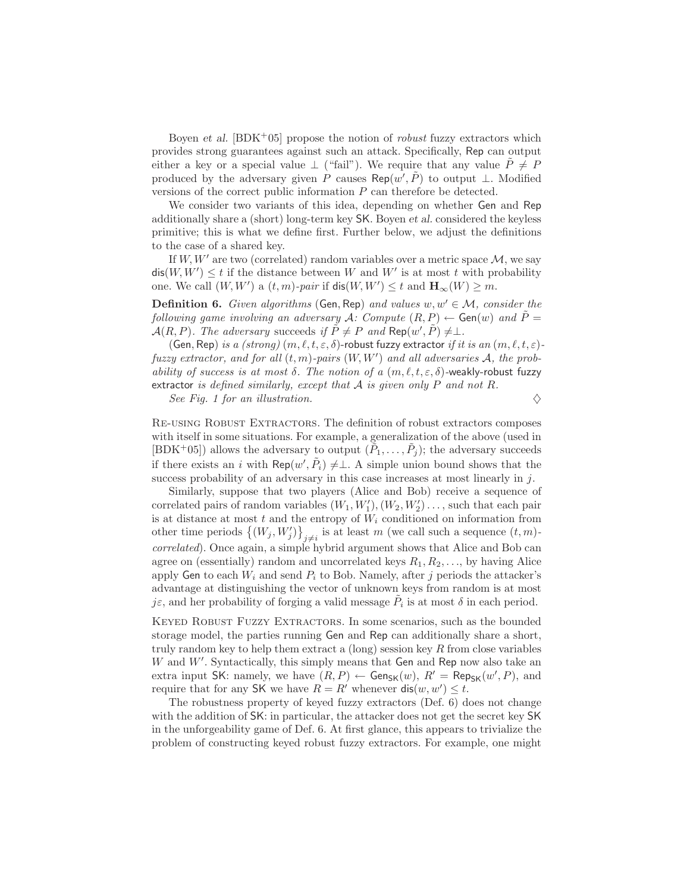Boyen et al.  $[BDK+05]$  propose the notion of *robust* fuzzy extractors which provides strong guarantees against such an attack. Specifically, Rep can output either a key or a special value  $\perp$  ("fail"). We require that any value  $\tilde{P} \neq P$ produced by the adversary given P causes  $\mathsf{Rep}(w', \tilde{P})$  to output  $\perp$ . Modified versions of the correct public information P can therefore be detected.

We consider two variants of this idea, depending on whether Gen and Rep additionally share a (short) long-term key SK. Boyen et al. considered the keyless primitive; this is what we define first. Further below, we adjust the definitions to the case of a shared key.

If  $W, W'$  are two (correlated) random variables over a metric space  $\mathcal{M}$ , we say  $dis(W, W') \leq t$  if the distance between W and W' is at most t with probability one. We call  $(W, W')$  a  $(t, m)$ -pair if  $\textsf{dis}(W, W') \leq t$  and  $\mathbf{H}_{\infty}(W) \geq m$ .

**Definition 6.** Given algorithms (Gen, Rep) and values  $w, w' \in M$ , consider the following game involving an adversary A: Compute  $(R, P) \leftarrow$  Gen $(w)$  and  $P =$  $\mathcal{A}(R, P)$ . The adversary succeeds if  $\tilde{P} \neq P$  and  $\mathsf{Rep}(w', \tilde{P}) \neq \perp$ .

(Gen, Rep) is a (strong)  $(m, \ell, t, \varepsilon, \delta)$ -robust fuzzy extractor if it is an  $(m, \ell, t, \varepsilon)$ fuzzy extractor, and for all  $(t, m)$ -pairs  $(W, W')$  and all adversaries A, the probability of success is at most  $\delta$ . The notion of a  $(m, \ell, t, \varepsilon, \delta)$ -weakly-robust fuzzy extractor is defined similarly, except that  $A$  is given only  $P$  and not  $R$ .

See Fig. 1 for an illustration.  $\Diamond$ 

Re-using Robust Extractors. The definition of robust extractors composes with itself in some situations. For example, a generalization of the above (used in [BDK<sup>+</sup>05]) allows the adversary to output  $(\tilde{P}_1, \ldots, \tilde{P}_j)$ ; the adversary succeeds if there exists an i with  $\mathsf{Rep}(w', \tilde{P}_i) \neq \perp$ . A simple union bound shows that the success probability of an adversary in this case increases at most linearly in  $j$ .

Similarly, suppose that two players (Alice and Bob) receive a sequence of correlated pairs of random variables  $(W_1, W'_1), (W_2, W'_2), \ldots$ , such that each pair is at distance at most  $t$  and the entropy of  $W_i$  conditioned on information from other time periods  $\{(W_j, W'_j)\}$  $j\neq i$  is at least m (we call such a sequence  $(t,m)$ correlated). Once again, a simple hybrid argument shows that Alice and Bob can agree on (essentially) random and uncorrelated keys  $R_1, R_2, \ldots$ , by having Alice apply Gen to each  $W_i$  and send  $P_i$  to Bob. Namely, after j periods the attacker's advantage at distinguishing the vector of unknown keys from random is at most  $j\varepsilon$ , and her probability of forging a valid message  $\tilde{P}_i$  is at most  $\delta$  in each period.

Keyed Robust Fuzzy Extractors. In some scenarios, such as the bounded storage model, the parties running Gen and Rep can additionally share a short, truly random key to help them extract a  $(\text{long})$  session key R from close variables  $W$  and  $W'$ . Syntactically, this simply means that Gen and Rep now also take an extra input SK: namely, we have  $(R, P) \leftarrow$  Gen<sub>SK</sub> $(w)$ ,  $R' = \mathsf{Rep}_{SK}(w', P)$ , and require that for any SK we have  $R = R'$  whenever  $\text{dis}(w, w') \leq t$ .

The robustness property of keyed fuzzy extractors (Def. 6) does not change with the addition of SK: in particular, the attacker does not get the secret key SK in the unforgeability game of Def. 6. At first glance, this appears to trivialize the problem of constructing keyed robust fuzzy extractors. For example, one might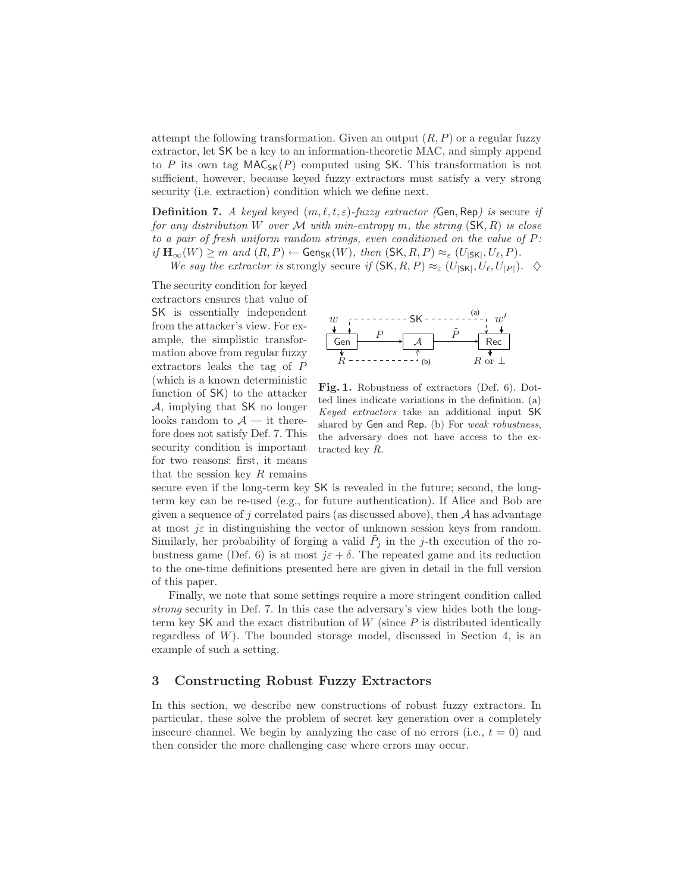attempt the following transformation. Given an output  $(R, P)$  or a regular fuzzy extractor, let SK be a key to an information-theoretic MAC, and simply append to P its own tag  $\mathsf{MAC}_{\mathsf{SK}}(P)$  computed using SK. This transformation is not sufficient, however, because keyed fuzzy extractors must satisfy a very strong security (i.e. extraction) condition which we define next.

**Definition 7.** A keyed keyed  $(m, \ell, t, \varepsilon)$ -fuzzy extractor (Gen, Rep) is secure if for any distribution W over M with min-entropy m, the string  $(SK, R)$  is close to a pair of fresh uniform random strings, even conditioned on the value of P:  $if \mathbf{H}_{\infty}(W) \geq m \text{ and } (R, P) \leftarrow \mathsf{Gen}_{\mathsf{SK}}(W), \text{ then } (\mathsf{SK}, R, P) \approx_{\varepsilon} (U_{|\mathsf{SK}|}, U_{\ell}, P).$ 

We say the extractor is strongly secure if  $(SK, R, P) \approx_{\varepsilon} (U_{|SK|}, U_{\ell}, U_{|P|})$ .  $\diamondsuit$ 

The security condition for keyed extractors ensures that value of SK is essentially independent from the attacker's view. For example, the simplistic transformation above from regular fuzzy extractors leaks the tag of P (which is a known deterministic function of SK) to the attacker A, implying that SK no longer looks random to  $A$  — it therefore does not satisfy Def. 7. This security condition is important for two reasons: first, it means that the session key  $R$  remains



Fig. 1. Robustness of extractors (Def. 6). Dotted lines indicate variations in the definition. (a) Keyed extractors take an additional input SK shared by Gen and Rep. (b) For weak robustness, the adversary does not have access to the extracted key R.

secure even if the long-term key SK is revealed in the future; second, the longterm key can be re-used (e.g., for future authentication). If Alice and Bob are given a sequence of j correlated pairs (as discussed above), then  $A$  has advantage at most  $j\epsilon$  in distinguishing the vector of unknown session keys from random. Similarly, her probability of forging a valid  $\tilde{P}_j$  in the j-th execution of the robustness game (Def. 6) is at most  $j\varepsilon + \delta$ . The repeated game and its reduction to the one-time definitions presented here are given in detail in the full version of this paper.

Finally, we note that some settings require a more stringent condition called strong security in Def. 7. In this case the adversary's view hides both the longterm key  $SK$  and the exact distribution of W (since  $P$  is distributed identically regardless of  $W$ ). The bounded storage model, discussed in Section 4, is an example of such a setting.

# 3 Constructing Robust Fuzzy Extractors

In this section, we describe new constructions of robust fuzzy extractors. In particular, these solve the problem of secret key generation over a completely insecure channel. We begin by analyzing the case of no errors (i.e.,  $t = 0$ ) and then consider the more challenging case where errors may occur.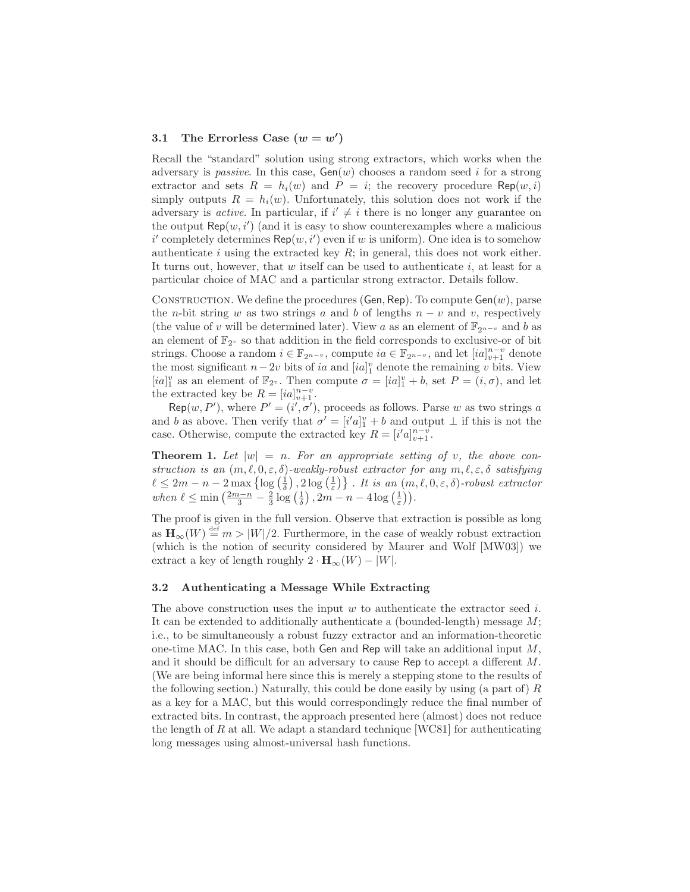# 3.1 The Errorless Case  $(w = w')$

Recall the "standard" solution using strong extractors, which works when the adversary is *passive*. In this case,  $Gen(w)$  chooses a random seed i for a strong extractor and sets  $R = h_i(w)$  and  $P = i$ ; the recovery procedure Rep $(w, i)$ simply outputs  $R = h_i(w)$ . Unfortunately, this solution does not work if the adversary is *active*. In particular, if  $i' \neq i$  there is no longer any guarantee on the output  $\mathsf{Rep}(w, i')$  (and it is easy to show counterexamples where a malicious i' completely determines  $\mathsf{Rep}(w, i')$  even if w is uniform). One idea is to somehow authenticate  $i$  using the extracted key  $R$ ; in general, this does not work either. It turns out, however, that  $w$  itself can be used to authenticate  $i$ , at least for a particular choice of MAC and a particular strong extractor. Details follow.

CONSTRUCTION. We define the procedures (Gen, Rep). To compute  $Gen(w)$ , parse the *n*-bit string w as two strings a and b of lengths  $n - v$  and v, respectively (the value of v will be determined later). View a as an element of  $\mathbb{F}_{2^{n-v}}$  and b as an element of  $\mathbb{F}_{2^v}$  so that addition in the field corresponds to exclusive-or of bit strings. Choose a random  $i \in \mathbb{F}_{2^{n-v}}$ , compute  $ia \in \mathbb{F}_{2^{n-v}}$ , and let  $[ia]_{v+1}^{n-v}$  denote the most significant  $n-2v$  bits of ia and  $[ia]_1^v$  denote the remaining v bits. View  $[ia]_1^v$  as an element of  $\mathbb{F}_{2^v}$ . Then compute  $\sigma = [ia]_1^v + b$ , set  $P = (i, \sigma)$ , and let the extracted key be  $R = [ia]_{v+1}^{n-v}$ .

 $Rep(w, P')$ , where  $P' = (i', \sigma')$ , proceeds as follows. Parse w as two strings a and b as above. Then verify that  $\sigma' = [i'a]_1^v + b$  and output  $\perp$  if this is not the case. Otherwise, compute the extracted key  $R = [i'a]_{v+1}^{n-v}$ .

**Theorem 1.** Let  $|w| = n$ . For an appropriate setting of v, the above construction is an  $(m, \ell, 0, \varepsilon, \delta)$ -weakly-robust extractor for any  $m, \ell, \varepsilon, \delta$  satisfying  $\ell \leq 2m-n-2\max\left\{\log\left(\frac{1}{\delta}\right), 2\log\left(\frac{1}{\varepsilon}\right)\right\}$ . It is an  $(m,\ell,0,\varepsilon,\delta)$ -robust extractor when  $\ell \leq \min\left(\frac{2m-n}{3}-\frac{2}{3}\log\left(\frac{1}{\delta}\right), 2m-n-4\log\left(\frac{1}{\varepsilon}\right)\right)$ .

The proof is given in the full version. Observe that extraction is possible as long as  $\mathbf{H}_{\infty}(W) \stackrel{\text{def}}{=} m > |W|/2$ . Furthermore, in the case of weakly robust extraction (which is the notion of security considered by Maurer and Wolf [MW03]) we extract a key of length roughly  $2 \cdot H_{\infty}(W) - |W|$ .

#### 3.2 Authenticating a Message While Extracting

The above construction uses the input  $w$  to authenticate the extractor seed  $i$ . It can be extended to additionally authenticate a (bounded-length) message M; i.e., to be simultaneously a robust fuzzy extractor and an information-theoretic one-time MAC. In this case, both Gen and Rep will take an additional input  $M$ , and it should be difficult for an adversary to cause Rep to accept a different M. (We are being informal here since this is merely a stepping stone to the results of the following section.) Naturally, this could be done easily by using (a part of)  $R$ as a key for a MAC, but this would correspondingly reduce the final number of extracted bits. In contrast, the approach presented here (almost) does not reduce the length of  $R$  at all. We adapt a standard technique [WC81] for authenticating long messages using almost-universal hash functions.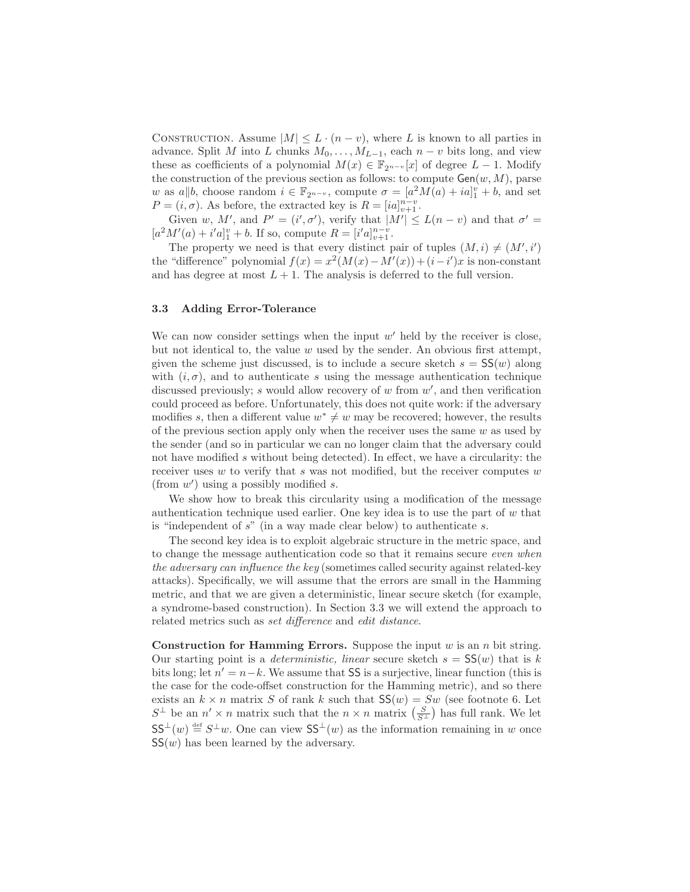CONSTRUCTION. Assume  $|M| \leq L \cdot (n - v)$ , where L is known to all parties in advance. Split M into L chunks  $M_0, \ldots, M_{L-1}$ , each  $n - v$  bits long, and view these as coefficients of a polynomial  $M(x) \in \mathbb{F}_{2^{n-v}}[x]$  of degree  $L-1$ . Modify the construction of the previous section as follows: to compute  $Gen(w, M)$ , parse w as  $a||b$ , choose random  $i \in \mathbb{F}_{2^{n-v}}$ , compute  $\sigma = [a^2M(a) + ia]_1^v + b$ , and set  $P = (i, \sigma)$ . As before, the extracted key is  $R = [ia]_{v+1}^{n-v}$ .

Given w, M', and  $P' = (i', \sigma')$ , verify that  $|M'| \le L(n - v)$  and that  $\sigma' =$  $[a<sup>2</sup>M'(a) + i'a]<sub>1</sub><sup>v</sup> + b$ . If so, compute  $R = [i'a]_{v+1}^{n-v}$ .

The property we need is that every distinct pair of tuples  $(M, i) \neq (M', i')$ the "difference" polynomial  $f(x) = x^2(M(x) - M'(x)) + (i - i')x$  is non-constant and has degree at most  $L + 1$ . The analysis is deferred to the full version.

#### 3.3 Adding Error-Tolerance

We can now consider settings when the input  $w'$  held by the receiver is close, but not identical to, the value  $w$  used by the sender. An obvious first attempt, given the scheme just discussed, is to include a secure sketch  $s = SS(w)$  along with  $(i, \sigma)$ , and to authenticate s using the message authentication technique discussed previously;  $s$  would allow recovery of  $w$  from  $w'$ , and then verification could proceed as before. Unfortunately, this does not quite work: if the adversary modifies s, then a different value  $w^* \neq w$  may be recovered; however, the results of the previous section apply only when the receiver uses the same  $w$  as used by the sender (and so in particular we can no longer claim that the adversary could not have modified s without being detected). In effect, we have a circularity: the receiver uses  $w$  to verify that  $s$  was not modified, but the receiver computes  $w$ (from  $w'$ ) using a possibly modified s.

We show how to break this circularity using a modification of the message authentication technique used earlier. One key idea is to use the part of  $w$  that is "independent of  $s$ " (in a way made clear below) to authenticate  $s$ .

The second key idea is to exploit algebraic structure in the metric space, and to change the message authentication code so that it remains secure even when the adversary can influence the key (sometimes called security against related-key attacks). Specifically, we will assume that the errors are small in the Hamming metric, and that we are given a deterministic, linear secure sketch (for example, a syndrome-based construction). In Section 3.3 we will extend the approach to related metrics such as set difference and edit distance.

**Construction for Hamming Errors.** Suppose the input  $w$  is an  $n$  bit string. Our starting point is a *deterministic*, linear secure sketch  $s = SS(w)$  that is k bits long; let  $n' = n-k$ . We assume that SS is a surjective, linear function (this is the case for the code-offset construction for the Hamming metric), and so there exists an  $k \times n$  matrix S of rank k such that  $SS(w) = Sw$  (see footnote 6. Let  $S^{\perp}$  be an  $n' \times n$  matrix such that the  $n \times n$  matrix  $\left(\frac{S}{S^{\perp}}\right)$  has full rank. We let  $SS^{\perp}(w) \stackrel{\text{def}}{=} S^{\perp}w$ . One can view  $SS^{\perp}(w)$  as the information remaining in w once  $SS(w)$  has been learned by the adversary.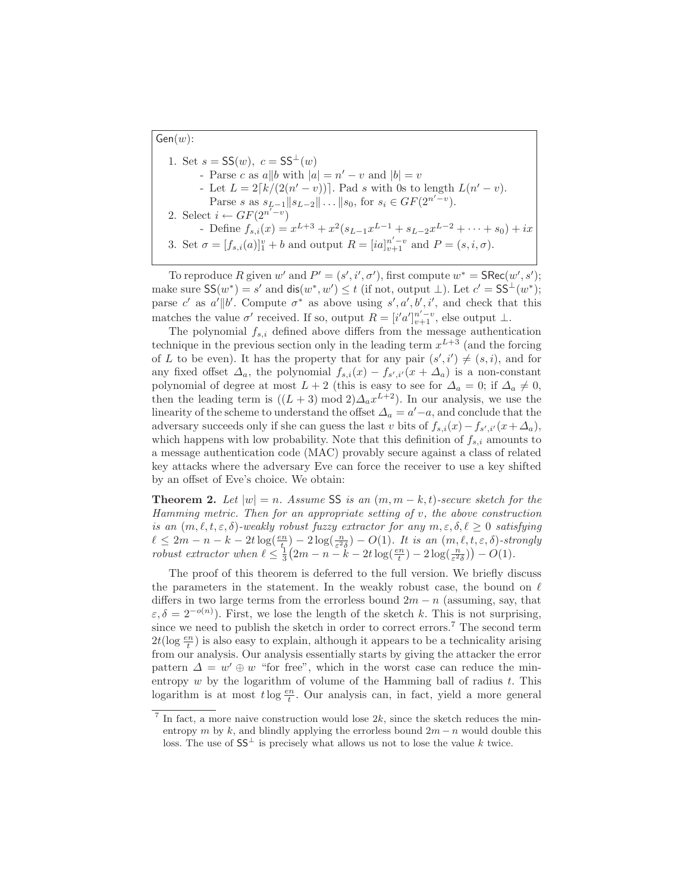$Gen(w)$ : 1. Set  $s = SS(w)$ ,  $c = SS^{\perp}(w)$ - Parse c as  $a||b$  with  $|a| = n' - v$  and  $|b| = v$ - Let  $L = 2\lceil k/(2(n'-v)) \rceil$ . Pad s with 0s to length  $L(n'-v)$ . Parse s as  $s_{L-1}||s_{L-2}|| \dots ||s_0$ , for  $s_i \in GF(2^{n'-v})$ . 2. Select  $i \leftarrow GF(2^{n'-v})$ - Define  $f_{s,i}(x) = x^{L+3} + x^2(s_{L-1}x^{L-1} + s_{L-2}x^{L-2} + \cdots + s_0) + ix$ 3. Set  $\sigma = [f_{s,i}(a)]_1^v + b$  and output  $R = [ia]_{v+1}^{n'-v}$  and  $P = (s,i,\sigma)$ .

To reproduce R given w' and  $P' = (s', i', \sigma')$ , first compute  $w^* = \textsf{SRec}(w', s')$ ; make sure  $SS(w^*) = s'$  and  $dis(w^*, w') \leq t$  (if not, output  $\perp$ ). Let  $c' = SS^{\perp}(w^*)$ ; parse c' as  $a' \parallel b'$ . Compute  $\sigma^*$  as above using  $s', a', b', i'$ , and check that this matches the value  $\sigma'$  received. If so, output  $R = [i'a']_{v+1}^{n'-v}$ , else output  $\perp$ .

The polynomial  $f_{s,i}$  defined above differs from the message authentication technique in the previous section only in the leading term  $x^{L+3}$  (and the forcing of L to be even). It has the property that for any pair  $(s', i') \neq (s, i)$ , and for any fixed offset  $\Delta_a$ , the polynomial  $f_{s,i}(x) - f_{s',i'}(x + \Delta_a)$  is a non-constant polynomial of degree at most  $L + 2$  (this is easy to see for  $\Delta_a = 0$ ; if  $\Delta_a \neq 0$ , then the leading term is  $((L+3) \mod 2) \Delta_a x^{L+2}$ . In our analysis, we use the linearity of the scheme to understand the offset  $\Delta_a = a' - a$ , and conclude that the adversary succeeds only if she can guess the last v bits of  $f_{s,i}(x) - f_{s',i'}(x + \Delta_a)$ , which happens with low probability. Note that this definition of  $f_{s,i}$  amounts to a message authentication code (MAC) provably secure against a class of related key attacks where the adversary Eve can force the receiver to use a key shifted by an offset of Eve's choice. We obtain:

**Theorem 2.** Let  $|w| = n$ . Assume SS is an  $(m, m - k, t)$ -secure sketch for the Hamming metric. Then for an appropriate setting of v, the above construction is an  $(m, \ell, t, \varepsilon, \delta)$ -weakly robust fuzzy extractor for any  $m, \varepsilon, \delta, \ell \geq 0$  satisfying  $\ell \leq 2m-n-k-2t\log(\frac{en}{t})-2\log(\frac{n}{\varepsilon^2\delta})-O(1)$ . It is an  $(m,\ell,t,\varepsilon,\delta)$ -strongly robust extractor when  $l \leq \frac{1}{3}(2m-n-k-2t\log(\frac{en}{t})-2\log(\frac{n}{\epsilon^2\delta})) - O(1)$ .

The proof of this theorem is deferred to the full version. We briefly discuss the parameters in the statement. In the weakly robust case, the bound on  $\ell$ differs in two large terms from the errorless bound  $2m - n$  (assuming, say, that  $\varepsilon,\delta=2^{-o(n)}$ ). First, we lose the length of the sketch k. This is not surprising, since we need to publish the sketch in order to correct errors.<sup>7</sup> The second term  $2t(\log \frac{en}{t})$  is also easy to explain, although it appears to be a technicality arising from our analysis. Our analysis essentially starts by giving the attacker the error pattern  $\Delta = w' \oplus w$  "for free", which in the worst case can reduce the minentropy  $w$  by the logarithm of volume of the Hamming ball of radius  $t$ . This logarithm is at most  $t \log \frac{en}{t}$ . Our analysis can, in fact, yield a more general

<sup>&</sup>lt;sup>7</sup> In fact, a more naive construction would lose  $2k$ , since the sketch reduces the minentropy m by k, and blindly applying the errorless bound  $2m - n$  would double this loss. The use of  $SS^{\perp}$  is precisely what allows us not to lose the value k twice.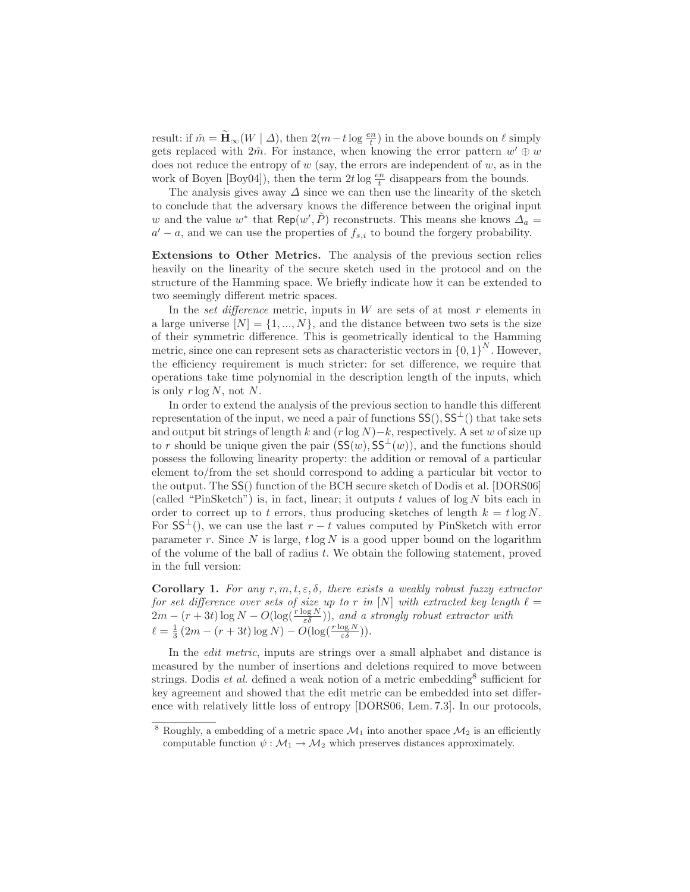result: if  $\hat{m} = \widetilde{\mathbf{H}}_{\infty}(W | \Delta)$ , then  $2(m - t \log \frac{en}{t})$  in the above bounds on  $\ell$  simply gets replaced with  $2m$ . For instance, when knowing the error pattern  $w' \oplus w$ does not reduce the entropy of  $w$  (say, the errors are independent of  $w$ , as in the work of Boyen [Boy04]), then the term  $2t \log \frac{en}{t}$  disappears from the bounds.

The analysis gives away  $\Delta$  since we can then use the linearity of the sketch to conclude that the adversary knows the difference between the original input w and the value  $w^*$  that Rep( $w', \tilde{P}$ ) reconstructs. This means she knows  $\Delta_a =$  $a'-a$ , and we can use the properties of  $f_{s,i}$  to bound the forgery probability.

Extensions to Other Metrics. The analysis of the previous section relies heavily on the linearity of the secure sketch used in the protocol and on the structure of the Hamming space. We briefly indicate how it can be extended to two seemingly different metric spaces.

In the set difference metric, inputs in  $W$  are sets of at most  $r$  elements in a large universe  $[N] = \{1, ..., N\}$ , and the distance between two sets is the size of their symmetric difference. This is geometrically identical to the Hamming metric, since one can represent sets as characteristic vectors in  ${0,1}^N$ . However, the efficiency requirement is much stricter: for set difference, we require that operations take time polynomial in the description length of the inputs, which is only  $r \log N$ , not N.

In order to extend the analysis of the previous section to handle this different representation of the input, we need a pair of functions  $SS(), SS^{\perp}()$  that take sets and output bit strings of length k and  $(r \log N) - k$ , respectively. A set w of size up to r should be unique given the pair  $(SS(w), SS^{\perp}(w))$ , and the functions should possess the following linearity property: the addition or removal of a particular element to/from the set should correspond to adding a particular bit vector to the output. The SS() function of the BCH secure sketch of Dodis et al. [DORS06] (called "PinSketch") is, in fact, linear; it outputs t values of  $\log N$  bits each in order to correct up to t errors, thus producing sketches of length  $k = t \log N$ . For  $SS^{\perp}$ (), we can use the last  $r - t$  values computed by PinSketch with error parameter r. Since  $N$  is large,  $t \log N$  is a good upper bound on the logarithm of the volume of the ball of radius t. We obtain the following statement, proved in the full version:

Corollary 1. For any  $r, m, t, \varepsilon, \delta$ , there exists a weakly robust fuzzy extractor for set difference over sets of size up to r in  $[N]$  with extracted key length  $\ell=$  $2m - (r + 3t) \log N - O(\log(\frac{r \log N}{\varepsilon \delta}))$ , and a strongly robust extractor with  $\ell = \frac{1}{3} (2m - (r + 3t) \log N) - O(\log(\frac{r \log N}{\varepsilon \delta})).$ 

In the *edit metric*, inputs are strings over a small alphabet and distance is measured by the number of insertions and deletions required to move between strings. Dodis *et al.* defined a weak notion of a metric embedding<sup>8</sup> sufficient for key agreement and showed that the edit metric can be embedded into set difference with relatively little loss of entropy [DORS06, Lem. 7.3]. In our protocols,

<sup>&</sup>lt;sup>8</sup> Roughly, a embedding of a metric space  $\mathcal{M}_1$  into another space  $\mathcal{M}_2$  is an efficiently computable function  $\psi : \mathcal{M}_1 \to \mathcal{M}_2$  which preserves distances approximately.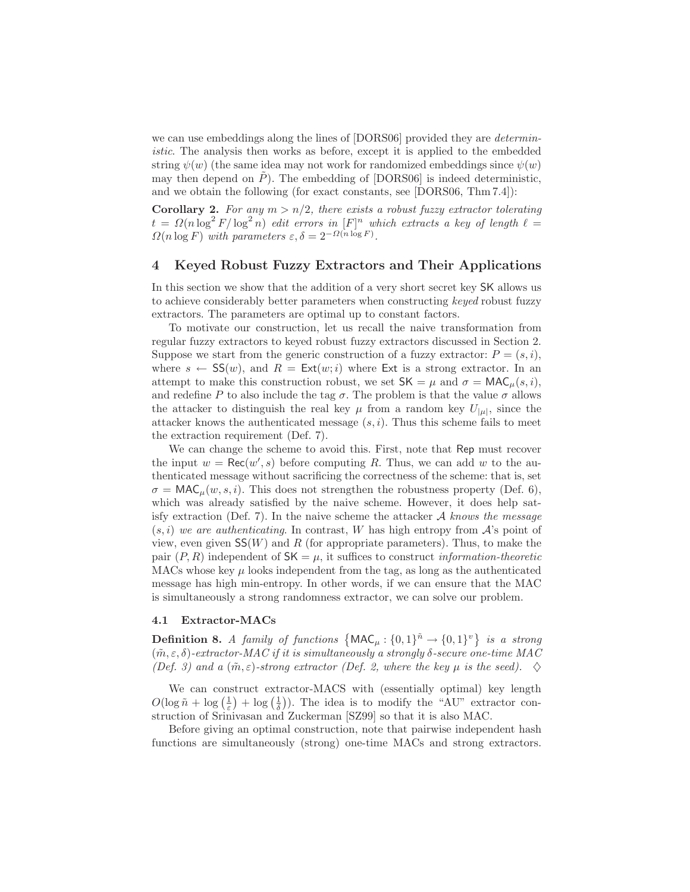we can use embeddings along the lines of [DORS06] provided they are *determin*istic. The analysis then works as before, except it is applied to the embedded string  $\psi(w)$  (the same idea may not work for randomized embeddings since  $\psi(w)$ ) may then depend on  $\hat{P}$ ). The embedding of [DORS06] is indeed deterministic, and we obtain the following (for exact constants, see [DORS06, Thm 7.4]):

**Corollary 2.** For any  $m > n/2$ , there exists a robust fuzzy extractor tolerating  $t = \Omega(n \log^2 F / \log^2 n)$  edit errors in  $[F]^n$  which extracts a key of length  $\ell =$  $\Omega(n \log F)$  with parameters  $\varepsilon, \delta = 2^{-\Omega(n \log F)}$ .

# 4 Keyed Robust Fuzzy Extractors and Their Applications

In this section we show that the addition of a very short secret key SK allows us to achieve considerably better parameters when constructing keyed robust fuzzy extractors. The parameters are optimal up to constant factors.

To motivate our construction, let us recall the naive transformation from regular fuzzy extractors to keyed robust fuzzy extractors discussed in Section 2. Suppose we start from the generic construction of a fuzzy extractor:  $P = (s, i)$ , where  $s \leftarrow \mathsf{SS}(w)$ , and  $R = \mathsf{Ext}(w; i)$  where  $\mathsf{Ext}$  is a strong extractor. In an attempt to make this construction robust, we set  $\mathsf{SK} = \mu$  and  $\sigma = \mathsf{MAC}_{\mu}(s, i)$ , and redefine P to also include the tag  $\sigma$ . The problem is that the value  $\sigma$  allows the attacker to distinguish the real key  $\mu$  from a random key  $U_{|\mu|}$ , since the attacker knows the authenticated message  $(s, i)$ . Thus this scheme fails to meet the extraction requirement (Def. 7).

We can change the scheme to avoid this. First, note that Rep must recover the input  $w = \text{Rec}(w', s)$  before computing R. Thus, we can add w to the authenticated message without sacrificing the correctness of the scheme: that is, set  $\sigma = \text{MAC}_{\mu}(w, s, i)$ . This does not strengthen the robustness property (Def. 6), which was already satisfied by the naive scheme. However, it does help satisfy extraction (Def. 7). In the naive scheme the attacker  $A$  knows the message  $(s,i)$  we are authenticating. In contrast, W has high entropy from  $\mathcal{A}$ 's point of view, even given  $SS(W)$  and R (for appropriate parameters). Thus, to make the pair  $(P, R)$  independent of  $SK = \mu$ , it suffices to construct *information-theoretic* MACs whose key  $\mu$  looks independent from the tag, as long as the authenticated message has high min-entropy. In other words, if we can ensure that the MAC is simultaneously a strong randomness extractor, we can solve our problem.

#### 4.1 Extractor-MACs

**Definition 8.** A family of functions  $\{MAC_{\mu} : \{0,1\}^{\tilde{n}} \rightarrow \{0,1\}^{\tilde{v}}\}$  is a strong  $(\tilde{m}, \varepsilon, \delta)$ -extractor-MAC if it is simultaneously a strongly  $\delta$ -secure one-time MAC (Def. 3) and a  $(\tilde{m}, \varepsilon)$ -strong extractor (Def. 2, where the key  $\mu$  is the seed).  $\diamondsuit$ 

We can construct extractor-MACS with (essentially optimal) key length  $O(\log \tilde{n} + \log (\frac{1}{\varepsilon}) + \log (\frac{1}{\delta}))$ . The idea is to modify the "AU" extractor construction of Srinivasan and Zuckerman [SZ99] so that it is also MAC.

Before giving an optimal construction, note that pairwise independent hash functions are simultaneously (strong) one-time MACs and strong extractors.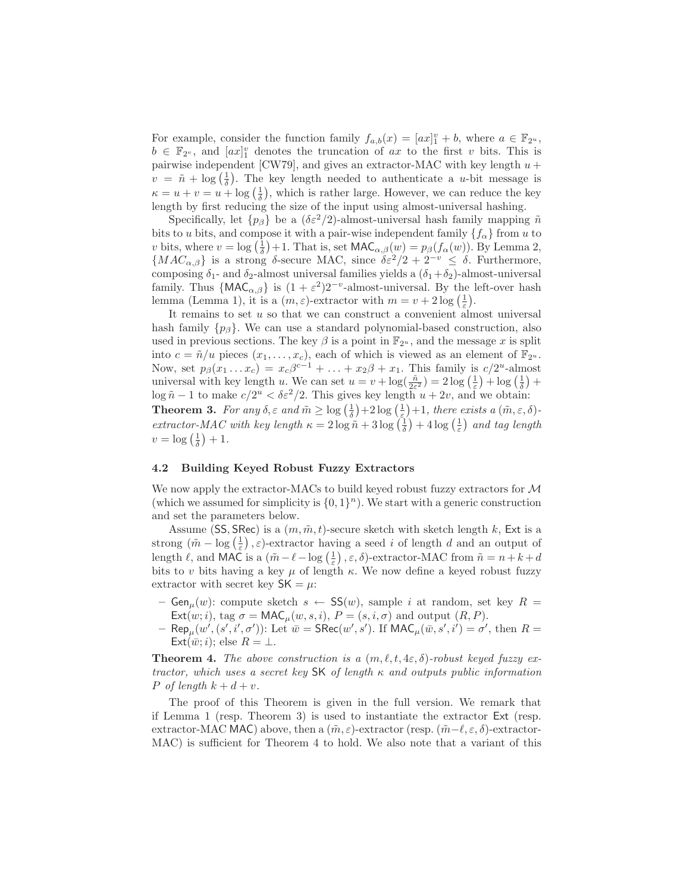For example, consider the function family  $f_{a,b}(x) = [ax]_1^v + b$ , where  $a \in \mathbb{F}_{2^u}$ ,  $b \in \mathbb{F}_{2^v}$ , and  $[ax]_1^v$  denotes the truncation of ax to the first v bits. This is pairwise independent [CW79], and gives an extractor-MAC with key length  $u +$  $v = \tilde{n} + \log(\frac{1}{\delta})$ . The key length needed to authenticate a u-bit message is  $\kappa = u + v = u + \log\left(\frac{1}{\delta}\right)$ , which is rather large. However, we can reduce the key length by first reducing the size of the input using almost-universal hashing.

Specifically, let  $\{p_\beta\}$  be a  $(\delta \varepsilon^2/2)$ -almost-universal hash family mapping  $\tilde{n}$ bits to u bits, and compose it with a pair-wise independent family  $\{f_{\alpha}\}\$ from u to v bits, where  $v = \log(\frac{1}{\delta}) + 1$ . That is, set  $\mathsf{MAC}_{\alpha,\beta}(w) = p_{\beta}(f_{\alpha}(w))$ . By Lemma 2,  ${MAC_{\alpha,\beta}}$  is a strong  $\delta$ -secure MAC, since  $\delta \epsilon^2/2 + 2^{-v} \leq \delta$ . Furthermore, composing  $\delta_1$ - and  $\delta_2$ -almost universal families yields a  $(\delta_1+\delta_2)$ -almost-universal family. Thus  $\{MAC_{\alpha,\beta}\}\$ is  $(1 + \varepsilon^2)2^{-\nu}$ -almost-universal. By the left-over hash lemma (Lemma 1), it is a  $(m, \varepsilon)$ -extractor with  $m = v + 2 \log(\frac{1}{\varepsilon})$ .

It remains to set  $u$  so that we can construct a convenient almost universal hash family  $\{p_\beta\}$ . We can use a standard polynomial-based construction, also used in previous sections. The key  $\beta$  is a point in  $\mathbb{F}_{2^u}$ , and the message x is split into  $c = \tilde{n}/u$  pieces  $(x_1, \ldots, x_c)$ , each of which is viewed as an element of  $\mathbb{F}_{2^u}$ . Now, set  $p_\beta(x_1 \dots x_c) = x_c \beta^{c-1} + \dots + x_2 \beta + x_1$ . This family is  $c/2^u$ -almost universal with key length u. We can set  $u = v + \log(\frac{\tilde{n}}{2\epsilon^2}) = 2 \log(\frac{1}{\epsilon}) + \log(\frac{1}{\delta}) +$  $\log \tilde{n} - 1$  to make  $c/2^u < \delta \varepsilon^2/2$ . This gives key length  $u + 2v$ , and we obtain:

**Theorem 3.** For any  $\delta, \varepsilon$  and  $\tilde{m} \ge \log\left(\frac{1}{\delta}\right) + 2\log\left(\frac{1}{\varepsilon}\right) + 1$ , there exists a  $(\tilde{m}, \varepsilon, \delta)$ extractor-MAC with key length  $\kappa = 2 \log \tilde{n} + 3 \log (\frac{1}{\delta}) + 4 \log (\frac{1}{\varepsilon})$  and tag length  $v = \log(\frac{1}{\delta}) + 1.$ 

#### 4.2 Building Keyed Robust Fuzzy Extractors

We now apply the extractor-MACs to build keyed robust fuzzy extractors for M (which we assumed for simplicity is  $\{0,1\}^n$ ). We start with a generic construction and set the parameters below.

Assume (SS, SRec) is a  $(m, \tilde{m}, t)$ -secure sketch with sketch length k, Ext is a strong  $(\tilde{m} - \log(\frac{1}{\varepsilon}), \varepsilon)$ -extractor having a seed i of length d and an output of length  $\ell$ , and MAC is a  $(\tilde{m} - \ell - \log(\frac{1}{\varepsilon}), \varepsilon, \delta)$ -extractor-MAC from  $\tilde{n} = n + k + d$ bits to v bits having a key  $\mu$  of length  $\kappa$ . We now define a keyed robust fuzzy extractor with secret key  $SK = \mu$ :

- Gen<sub>u</sub> $(w)$ : compute sketch  $s \leftarrow SS(w)$ , sample i at random, set key  $R =$ Ext $(w, i)$ , tag  $\sigma = \text{MAC}_{\mu}(w, s, i)$ ,  $P = (s, i, \sigma)$  and output  $(R, P)$ .
- Rep<sub> $\mu$ </sub> $(w', (s', i', \sigma'))$ : Let  $\bar{w} = \textsf{SRec}(w', s')$ . If  $\textsf{MAC}_{\mu}(\bar{w}, s', i') = \sigma'$ , then  $R =$  $\textsf{Ext}(\bar{w};i)$ ; else  $R = \perp$ .

**Theorem 4.** The above construction is a  $(m, \ell, t, 4\varepsilon, \delta)$ -robust keyed fuzzy extractor, which uses a secret key SK of length  $\kappa$  and outputs public information P of length  $k + d + v$ .

The proof of this Theorem is given in the full version. We remark that if Lemma 1 (resp. Theorem 3) is used to instantiate the extractor Ext (resp. extractor-MAC MAC) above, then a  $(\tilde{m}, \varepsilon)$ -extractor (resp.  $(\tilde{m} - \ell, \varepsilon, \delta)$ -extractor-MAC) is sufficient for Theorem 4 to hold. We also note that a variant of this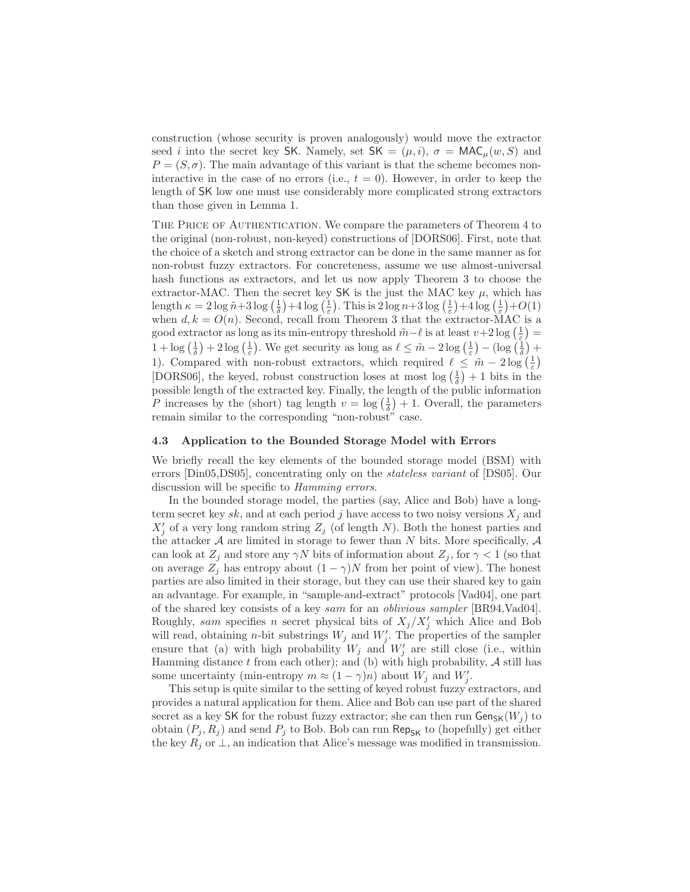construction (whose security is proven analogously) would move the extractor seed *i* into the secret key SK. Namely, set  $SK = (\mu, i)$ ,  $\sigma = MAC_{\mu}(w, S)$  and  $P = (S, \sigma)$ . The main advantage of this variant is that the scheme becomes noninteractive in the case of no errors (i.e.,  $t = 0$ ). However, in order to keep the length of SK low one must use considerably more complicated strong extractors than those given in Lemma 1.

The Price of Authentication. We compare the parameters of Theorem 4 to the original (non-robust, non-keyed) constructions of [DORS06]. First, note that the choice of a sketch and strong extractor can be done in the same manner as for non-robust fuzzy extractors. For concreteness, assume we use almost-universal hash functions as extractors, and let us now apply Theorem 3 to choose the extractor-MAC. Then the secret key SK is the just the MAC key  $\mu$ , which has length  $\kappa = 2 \log \tilde{n} + 3 \log \left( \frac{1}{\delta} \right) + 4 \log \left( \frac{1}{\varepsilon} \right)$ . This is  $2 \log n + 3 \log \left( \frac{1}{\varepsilon} \right) + 4 \log \left( \frac{1}{\varepsilon} \right) + O(1)$ when  $d, k = O(n)$ . Second, recall from Theorem 3 that the extractor-MAC is a good extractor as long as its min-entropy threshold  $\tilde{m}-\ell$  is at least  $v+2\log\left(\frac{1}{\varepsilon}\right)$  =  $1 + \log\left(\frac{1}{\delta}\right) + 2\log\left(\frac{1}{\varepsilon}\right)$ . We get security as long as  $\ell \leq \tilde{m} - 2\log\left(\frac{1}{\varepsilon}\right) - \left(\log\left(\frac{1}{\delta}\right) + \frac{1}{\varepsilon}\right)$ 1). Compared with non-robust extractors, which required  $\ell \leq \tilde{m} - 2 \log \left( \frac{1}{\varepsilon} \right)$ [DORS06], the keyed, robust construction loses at most  $\log\left(\frac{1}{\delta}\right) + 1$  bits in the possible length of the extracted key. Finally, the length of the public information P increases by the (short) tag length  $v = \log \left(\frac{1}{\delta}\right) + 1$ . Overall, the parameters remain similar to the corresponding "non-robust" case.

#### 4.3 Application to the Bounded Storage Model with Errors

We briefly recall the key elements of the bounded storage model (BSM) with errors [Din05,DS05], concentrating only on the stateless variant of [DS05]. Our discussion will be specific to Hamming errors.

In the bounded storage model, the parties (say, Alice and Bob) have a longterm secret key sk, and at each period j have access to two noisy versions  $X_j$  and  $X'_{j}$  of a very long random string  $Z_{j}$  (of length N). Both the honest parties and the attacker  $A$  are limited in storage to fewer than  $N$  bits. More specifically,  $A$ can look at  $Z_j$  and store any  $\gamma N$  bits of information about  $Z_j$ , for  $\gamma < 1$  (so that on average  $Z_j$  has entropy about  $(1 - \gamma)N$  from her point of view). The honest parties are also limited in their storage, but they can use their shared key to gain an advantage. For example, in "sample-and-extract" protocols [Vad04], one part of the shared key consists of a key sam for an oblivious sampler [BR94,Vad04]. Roughly, sam specifies n secret physical bits of  $X_j/X'_j$  which Alice and Bob will read, obtaining *n*-bit substrings  $W_j$  and  $W'_j$ . The properties of the sampler ensure that (a) with high probability  $W_j$  and  $W'_j$  are still close (i.e., within Hamming distance  $t$  from each other); and (b) with high probability,  $A$  still has some uncertainty (min-entropy  $m \approx (1 - \gamma)n$ ) about  $W_j$  and  $W'_j$ .

This setup is quite similar to the setting of keyed robust fuzzy extractors, and provides a natural application for them. Alice and Bob can use part of the shared secret as a key SK for the robust fuzzy extractor; she can then run  $\mathsf{Gen}_{\mathsf{SK}}(W_i)$  to obtain  $(P_j, R_j)$  and send  $P_j$  to Bob. Bob can run Rep<sub>SK</sub> to (hopefully) get either the key  $R_j$  or  $\perp$ , an indication that Alice's message was modified in transmission.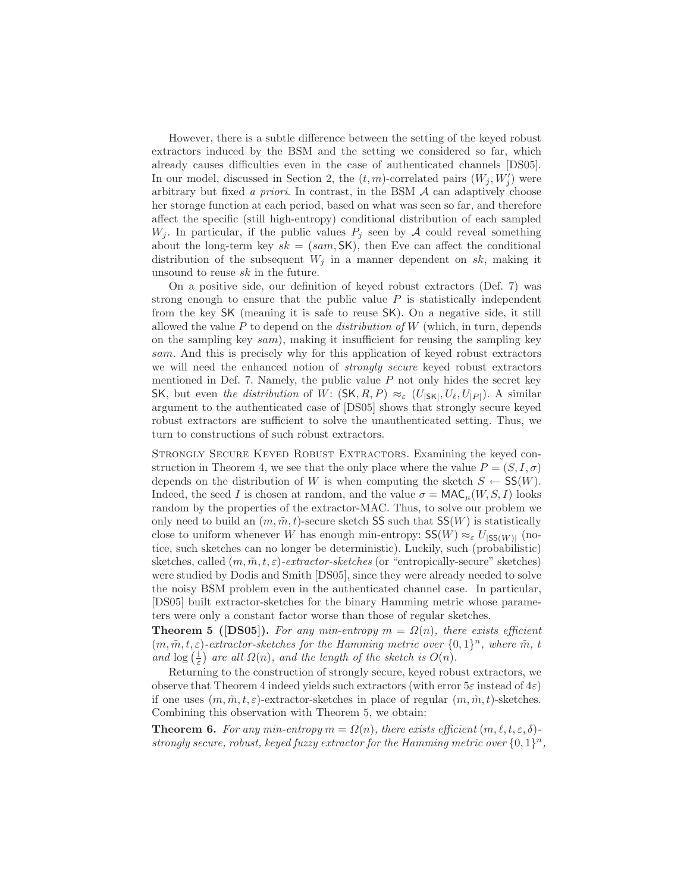However, there is a subtle difference between the setting of the keyed robust extractors induced by the BSM and the setting we considered so far, which already causes difficulties even in the case of authenticated channels [DS05]. In our model, discussed in Section 2, the  $(t, m)$ -correlated pairs  $(W_j, W'_j)$  were arbitrary but fixed a priori. In contrast, in the BSM  $A$  can adaptively choose her storage function at each period, based on what was seen so far, and therefore affect the specific (still high-entropy) conditional distribution of each sampled  $W_j$ . In particular, if the public values  $P_j$  seen by A could reveal something about the long-term key  $sk = (sam, SK)$ , then Eve can affect the conditional distribution of the subsequent  $W_j$  in a manner dependent on sk, making it unsound to reuse sk in the future.

On a positive side, our definition of keyed robust extractors (Def. 7) was strong enough to ensure that the public value  $P$  is statistically independent from the key SK (meaning it is safe to reuse SK). On a negative side, it still allowed the value  $P$  to depend on the *distribution of*  $W$  (which, in turn, depends on the sampling key sam), making it insufficient for reusing the sampling key sam. And this is precisely why for this application of keyed robust extractors we will need the enhanced notion of *strongly secure* keyed robust extractors mentioned in Def. 7. Namely, the public value  $P$  not only hides the secret key SK, but even the distribution of W:  $(SK, R, P) \approx_{\varepsilon} (U_{|SK|}, U_{\ell}, U_{|P|})$ . A similar argument to the authenticated case of [DS05] shows that strongly secure keyed robust extractors are sufficient to solve the unauthenticated setting. Thus, we turn to constructions of such robust extractors.

Strongly Secure Keyed Robust Extractors. Examining the keyed construction in Theorem 4, we see that the only place where the value  $P = (S, I, \sigma)$ depends on the distribution of W is when computing the sketch  $S \leftarrow SS(W)$ . Indeed, the seed I is chosen at random, and the value  $\sigma = \text{MAC}_{\mu}(W, S, I)$  looks random by the properties of the extractor-MAC. Thus, to solve our problem we only need to build an  $(m, \tilde{m}, t)$ -secure sketch SS such that  $SS(W)$  is statistically close to uniform whenever W has enough min-entropy:  $SS(W) \approx_{\varepsilon} U_{|SS(W)|}$  (notice, such sketches can no longer be deterministic). Luckily, such (probabilistic) sketches, called  $(m, \tilde{m}, t, \varepsilon)$ -extractor-sketches (or "entropically-secure" sketches) were studied by Dodis and Smith [DS05], since they were already needed to solve the noisy BSM problem even in the authenticated channel case. In particular, [DS05] built extractor-sketches for the binary Hamming metric whose parameters were only a constant factor worse than those of regular sketches.

**Theorem 5 ([DS05]).** For any min-entropy  $m = \Omega(n)$ , there exists efficient  $(m, \tilde{m}, t, \varepsilon)$ -extractor-sketches for the Hamming metric over  $\{0, 1\}^n$ , where  $\tilde{m}$ , t and  $\log\left(\frac{1}{\varepsilon}\right)$  are all  $\Omega(n)$ , and the length of the sketch is  $O(n)$ .

Returning to the construction of strongly secure, keyed robust extractors, we observe that Theorem 4 indeed yields such extractors (with error  $5\varepsilon$  instead of  $4\varepsilon$ ) if one uses  $(m, \tilde{m}, t, \varepsilon)$ -extractor-sketches in place of regular  $(m, \tilde{m}, t)$ -sketches. Combining this observation with Theorem 5, we obtain:

**Theorem 6.** For any min-entropy  $m = \Omega(n)$ , there exists efficient  $(m, \ell, t, \varepsilon, \delta)$ strongly secure, robust, keyed fuzzy extractor for the Hamming metric over  $\{0,1\}^n$ ,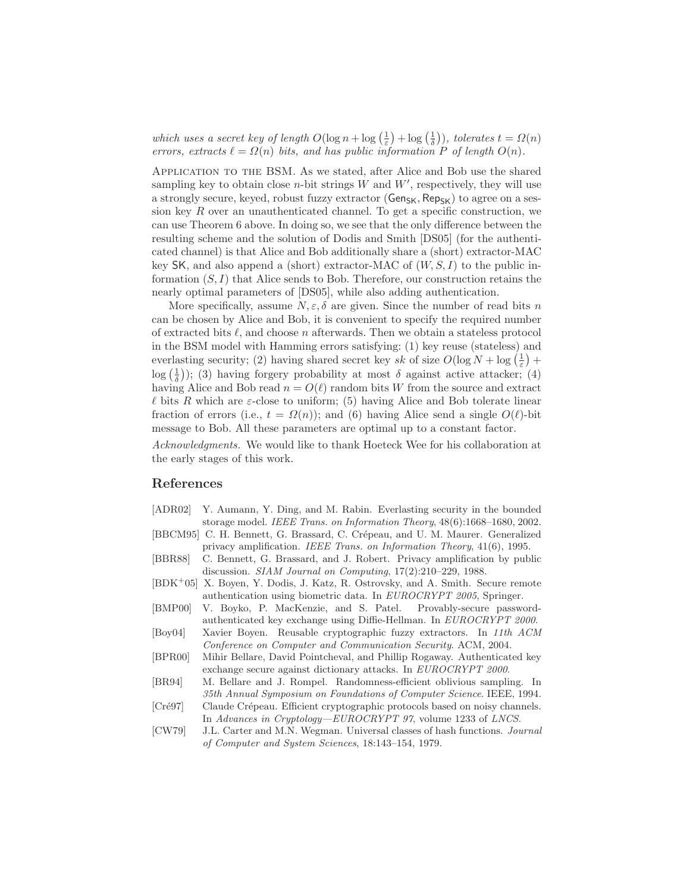which uses a secret key of length  $O(\log n + \log(\frac{1}{\varepsilon}) + \log(\frac{1}{\delta}))$ , tolerates  $t = \Omega(n)$ errors, extracts  $\ell = \Omega(n)$  bits, and has public information P of length  $O(n)$ .

Application to the BSM. As we stated, after Alice and Bob use the shared sampling key to obtain close  $n$ -bit strings  $W$  and  $W'$ , respectively, they will use a strongly secure, keyed, robust fuzzy extractor  $(Gen_{SK}, Rep_{SK})$  to agree on a session key  $R$  over an unauthenticated channel. To get a specific construction, we can use Theorem 6 above. In doing so, we see that the only difference between the resulting scheme and the solution of Dodis and Smith [DS05] (for the authenticated channel) is that Alice and Bob additionally share a (short) extractor-MAC key SK, and also append a (short) extractor-MAC of  $(W, S, I)$  to the public information  $(S, I)$  that Alice sends to Bob. Therefore, our construction retains the nearly optimal parameters of [DS05], while also adding authentication.

More specifically, assume  $N, \varepsilon, \delta$  are given. Since the number of read bits n can be chosen by Alice and Bob, it is convenient to specify the required number of extracted bits  $\ell$ , and choose n afterwards. Then we obtain a stateless protocol in the BSM model with Hamming errors satisfying: (1) key reuse (stateless) and everlasting security; (2) having shared secret key sk of size  $O(\log N + \log(\frac{1}{\varepsilon}) +$ log  $(\frac{1}{\delta})$ ; (3) having forgery probability at most  $\delta$  against active attacker; (4) having Alice and Bob read  $n = O(\ell)$  random bits W from the source and extract  $\ell$  bits R which are  $\varepsilon$ -close to uniform; (5) having Alice and Bob tolerate linear fraction of errors (i.e.,  $t = \Omega(n)$ ); and (6) having Alice send a single  $O(\ell)$ -bit message to Bob. All these parameters are optimal up to a constant factor.

Acknowledgments. We would like to thank Hoeteck Wee for his collaboration at the early stages of this work.

### References

- [ADR02] Y. Aumann, Y. Ding, and M. Rabin. Everlasting security in the bounded storage model. IEEE Trans. on Information Theory, 48(6):1668–1680, 2002.
- [BBCM95] C. H. Bennett, G. Brassard, C. Crépeau, and U. M. Maurer. Generalized privacy amplification. IEEE Trans. on Information Theory, 41(6), 1995.
- [BBR88] C. Bennett, G. Brassard, and J. Robert. Privacy amplification by public discussion. SIAM Journal on Computing, 17(2):210–229, 1988.
- [BDK<sup>+</sup>05] X. Boyen, Y. Dodis, J. Katz, R. Ostrovsky, and A. Smith. Secure remote authentication using biometric data. In EUROCRYPT 2005, Springer.
- [BMP00] V. Boyko, P. MacKenzie, and S. Patel. Provably-secure passwordauthenticated key exchange using Diffie-Hellman. In EUROCRYPT 2000.
- [Boy04] Xavier Boyen. Reusable cryptographic fuzzy extractors. In 11th ACM Conference on Computer and Communication Security. ACM, 2004.
- [BPR00] Mihir Bellare, David Pointcheval, and Phillip Rogaway. Authenticated key exchange secure against dictionary attacks. In EUROCRYPT 2000.
- [BR94] M. Bellare and J. Rompel. Randomness-efficient oblivious sampling. In 35th Annual Symposium on Foundations of Computer Science. IEEE, 1994.
- [Cré97] Claude Crépeau. Efficient cryptographic protocols based on noisy channels. In Advances in Cryptology—EUROCRYPT 97, volume 1233 of LNCS.
- [CW79] J.L. Carter and M.N. Wegman. Universal classes of hash functions. Journal of Computer and System Sciences, 18:143–154, 1979.